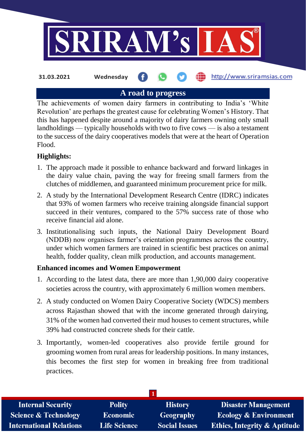

**31.03.2021 Wednesday**

http://www.sriramsias.com

## **A road to progress**

The achievements of women dairy farmers in contributing to India's 'White Revolution' are perhaps the greatest cause for celebrating Women's History. That this has happened despite around a majority of dairy farmers owning only small landholdings — typically households with two to five cows — is also a testament to the success of the dairy cooperatives models that were at the heart of Operation Flood.

## **Highlights:**

- 1. The approach made it possible to enhance backward and forward linkages in the dairy value chain, paving the way for freeing small farmers from the clutches of middlemen, and guaranteed minimum procurement price for milk.
- 2. A study by the International Development Research Centre (IDRC) indicates that 93% of women farmers who receive training alongside financial support succeed in their ventures, compared to the 57% success rate of those who receive financial aid alone.
- 3. Institutionalising such inputs, the National Dairy Development Board (NDDB) now organises farmer's orientation programmes across the country, under which women farmers are trained in scientific best practices on animal health, fodder quality, clean milk production, and accounts management.

### **Enhanced incomes and Women Empowerment**

- 1. According to the latest data, there are more than 1,90,000 dairy cooperative societies across the country, with approximately 6 million women members.
- 2. A study conducted on Women Dairy Cooperative Society (WDCS) members across Rajasthan showed that with the income generated through dairying, 31% of the women had converted their mud houses to cement structures, while 39% had constructed concrete sheds for their cattle.
- 3. Importantly, women-led cooperatives also provide fertile ground for grooming women from rural areas for leadership positions. In many instances, this becomes the first step for women in breaking free from traditional practices.

| <b>Internal Security</b>        | <b>Polity</b>       | <b>History</b>       | <b>Disaster Management</b>              |
|---------------------------------|---------------------|----------------------|-----------------------------------------|
| <b>Science &amp; Technology</b> | <b>Economic</b>     | Geography            | <b>Ecology &amp; Environment</b>        |
| <b>International Relations</b>  | <b>Life Science</b> | <b>Social Issues</b> | <b>Ethics, Integrity &amp; Aptitude</b> |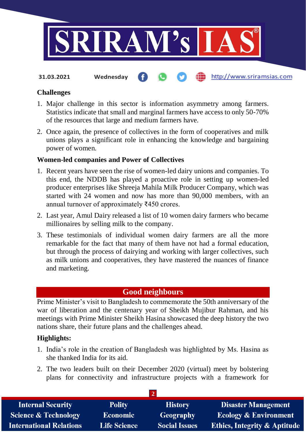

http://www.sriramsias.com

**31.03.2021 Wednesday**

# **Challenges**

- 1. Major challenge in this sector is information asymmetry among farmers. Statistics indicate that small and marginal farmers have access to only 50-70% of the resources that large and medium farmers have.
- 2. Once again, the presence of collectives in the form of cooperatives and milk unions plays a significant role in enhancing the knowledge and bargaining power of women.

#### **Women-led companies and Power of Collectives**

- 1. Recent years have seen the rise of women-led dairy unions and companies. To this end, the NDDB has played a proactive role in setting up women-led producer enterprises like Shreeja Mahila Milk Producer Company, which was started with 24 women and now has more than 90,000 members, with an annual turnover of approximately ₹450 crores.
- 2. Last year, Amul Dairy released a list of 10 women dairy farmers who became millionaires by selling milk to the company.
- 3. These testimonials of individual women dairy farmers are all the more remarkable for the fact that many of them have not had a formal education, but through the process of dairying and working with larger collectives, such as milk unions and cooperatives, they have mastered the nuances of finance and marketing.

# **Good neighbours**

Prime Minister's visit to Bangladesh to commemorate the 50th anniversary of the war of liberation and the centenary year of Sheikh Mujibur Rahman, and his meetings with Prime Minister Sheikh Hasina showcased the deep history the two nations share, their future plans and the challenges ahead.

### **Highlights:**

- 1. India's role in the creation of Bangladesh was highlighted by Ms. Hasina as she thanked India for its aid.
- 2. The two leaders built on their December 2020 (virtual) meet by bolstering plans for connectivity and infrastructure projects with a framework for

| <b>Internal Security</b>        | <b>Polity</b>       | <b>History</b>       | <b>Disaster Management</b>              |  |  |  |
|---------------------------------|---------------------|----------------------|-----------------------------------------|--|--|--|
| <b>Science &amp; Technology</b> | <b>Economic</b>     | Geography            | <b>Ecology &amp; Environment</b>        |  |  |  |
| <b>International Relations</b>  | <b>Life Science</b> | <b>Social Issues</b> | <b>Ethics, Integrity &amp; Aptitude</b> |  |  |  |